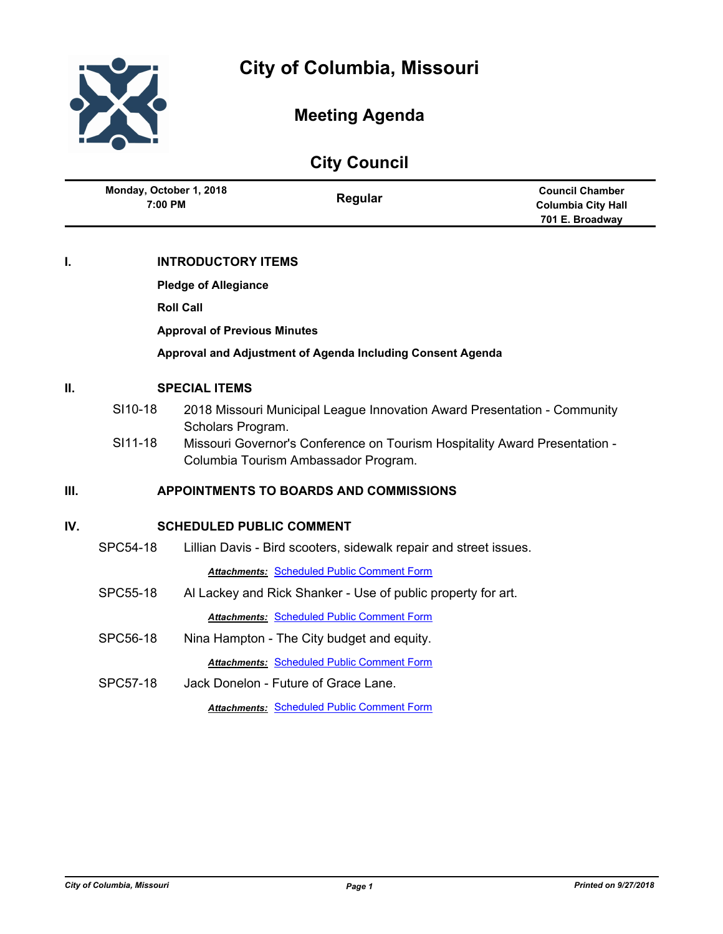

## **Meeting Agenda**

# **City Council**

| Monday, October 1, 2018<br>7:00 PM | Regular | <b>Council Chamber</b>    |
|------------------------------------|---------|---------------------------|
|                                    |         | <b>Columbia City Hall</b> |
|                                    |         | 701 E. Broadway           |

## **I. INTRODUCTORY ITEMS**

**Pledge of Allegiance**

**Roll Call**

**Approval of Previous Minutes**

**Approval and Adjustment of Agenda Including Consent Agenda**

## **II. SPECIAL ITEMS**

- SI10-18 2018 Missouri Municipal League Innovation Award Presentation Community Scholars Program.
- SI11-18 Missouri Governor's Conference on Tourism Hospitality Award Presentation Columbia Tourism Ambassador Program.

## **III. APPOINTMENTS TO BOARDS AND COMMISSIONS**

## **IV. SCHEDULED PUBLIC COMMENT**

SPC54-18 Lillian Davis - Bird scooters, sidewalk repair and street issues.

*Attachments:* [Scheduled Public Comment Form](http://gocolumbiamo.legistar.com/gateway.aspx?M=F&ID=60860bba-829b-4b13-9e36-6d1e7ebe88f9.pdf)

SPC55-18 Al Lackey and Rick Shanker - Use of public property for art.

**Attachments: [Scheduled Public Comment Form](http://gocolumbiamo.legistar.com/gateway.aspx?M=F&ID=f9226c47-fb84-427e-98a3-053dfab836d5.pdf)** 

- SPC56-18 Nina Hampton The City budget and equity. *Attachments:* [Scheduled Public Comment Form](http://gocolumbiamo.legistar.com/gateway.aspx?M=F&ID=f1081df6-8502-418d-a91a-bb5b5ca3acb6.pdf)
- SPC57-18 Jack Donelon Future of Grace Lane. *Attachments:* [Scheduled Public Comment Form](http://gocolumbiamo.legistar.com/gateway.aspx?M=F&ID=a0e8cffe-e33e-4028-85f4-16640d0a4690.pdf)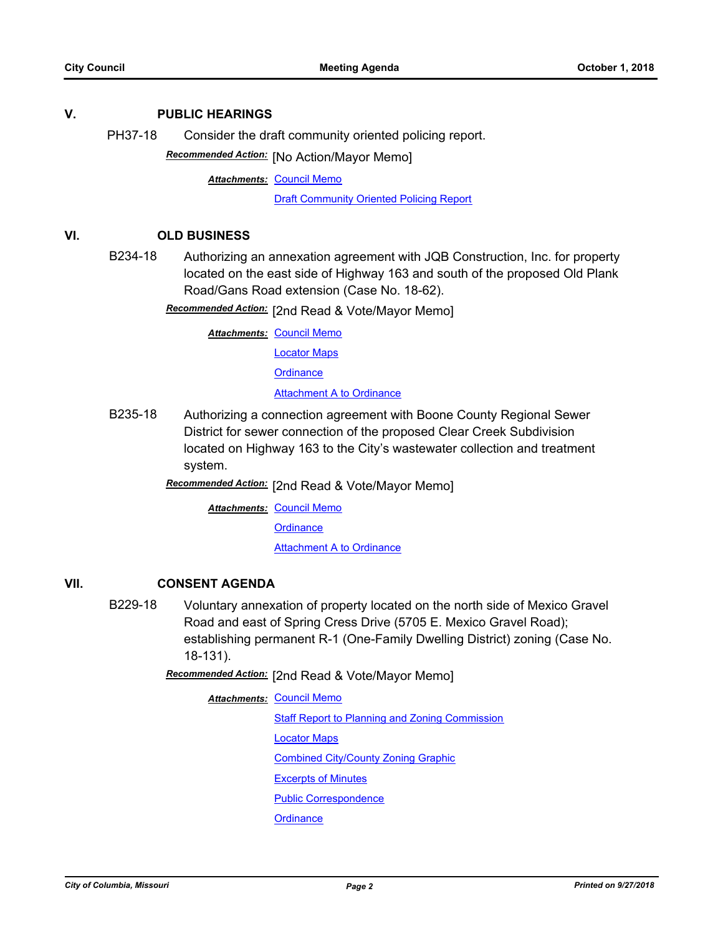#### **V. PUBLIC HEARINGS**

PH37-18 Consider the draft community oriented policing report.

**Recommended Action:** [No Action/Mayor Memo]

**Attachments: [Council Memo](http://gocolumbiamo.legistar.com/gateway.aspx?M=F&ID=665247a7-9ccc-4022-a999-7e20ec046382.docx)** 

[Draft Community Oriented Policing Report](http://gocolumbiamo.legistar.com/gateway.aspx?M=F&ID=a4a04592-35eb-4115-924a-96c3172725c6.pdf)

#### **VI. OLD BUSINESS**

B234-18 Authorizing an annexation agreement with JQB Construction, Inc. for property located on the east side of Highway 163 and south of the proposed Old Plank Road/Gans Road extension (Case No. 18-62).

Recommended Action: [2nd Read & Vote/Mayor Memo]

**Attachments: [Council Memo](http://gocolumbiamo.legistar.com/gateway.aspx?M=F&ID=9aa56020-67bd-4cf4-89c6-65c3d05a12bd.docx)** 

[Locator Maps](http://gocolumbiamo.legistar.com/gateway.aspx?M=F&ID=5f24ddbb-796d-4187-8062-c8e652d8694b.pdf)

**[Ordinance](http://gocolumbiamo.legistar.com/gateway.aspx?M=F&ID=e0917fd6-3f1a-44e1-a6ef-40fa8e8dbcf3.doc)** 

[Attachment A to Ordinance](http://gocolumbiamo.legistar.com/gateway.aspx?M=F&ID=03f26586-40fe-404c-a8dc-043de4bf0fac.pdf)

B235-18 Authorizing a connection agreement with Boone County Regional Sewer District for sewer connection of the proposed Clear Creek Subdivision located on Highway 163 to the City's wastewater collection and treatment system.

[2nd Read & Vote/Mayor Memo] *Recommended Action:*

**Attachments: [Council Memo](http://gocolumbiamo.legistar.com/gateway.aspx?M=F&ID=4627e128-a384-411a-8ed8-37500643ac55.docx)** 

**[Ordinance](http://gocolumbiamo.legistar.com/gateway.aspx?M=F&ID=4436220d-9801-46ae-81b9-a45acf9b432d.doc)** 

**[Attachment A to Ordinance](http://gocolumbiamo.legistar.com/gateway.aspx?M=F&ID=093f6db3-4cfd-4a8e-9009-7d75066415dd.pdf)** 

## **VII. CONSENT AGENDA**

B229-18 Voluntary annexation of property located on the north side of Mexico Gravel Road and east of Spring Cress Drive (5705 E. Mexico Gravel Road); establishing permanent R-1 (One-Family Dwelling District) zoning (Case No. 18-131).

Recommended Action: [2nd Read & Vote/Mayor Memo]

**Attachments: [Council Memo](http://gocolumbiamo.legistar.com/gateway.aspx?M=F&ID=0fc5afa7-1fa6-49c6-af6e-cc7f7b9159ee.docx)** [Staff Report to Planning and Zoning Commission](http://gocolumbiamo.legistar.com/gateway.aspx?M=F&ID=e0a7e683-15d2-459a-958f-7cb8f63a7550.docx) [Locator Maps](http://gocolumbiamo.legistar.com/gateway.aspx?M=F&ID=eab1211a-85d2-43fd-8be2-1a42b9c57211.pdf) [Combined City/County Zoning Graphic](http://gocolumbiamo.legistar.com/gateway.aspx?M=F&ID=96be4ca5-8562-4aa6-af20-b869b4b72992.jpg) [Excerpts of Minutes](http://gocolumbiamo.legistar.com/gateway.aspx?M=F&ID=06c307c5-0e1a-431b-8f5b-ee581dce673f.docx) [Public Correspondence](http://gocolumbiamo.legistar.com/gateway.aspx?M=F&ID=99868a11-cd93-43c7-836b-a02071974304.pdf) **[Ordinance](http://gocolumbiamo.legistar.com/gateway.aspx?M=F&ID=20047e30-d4a8-4a28-993c-079b4d2e00ad.doc)**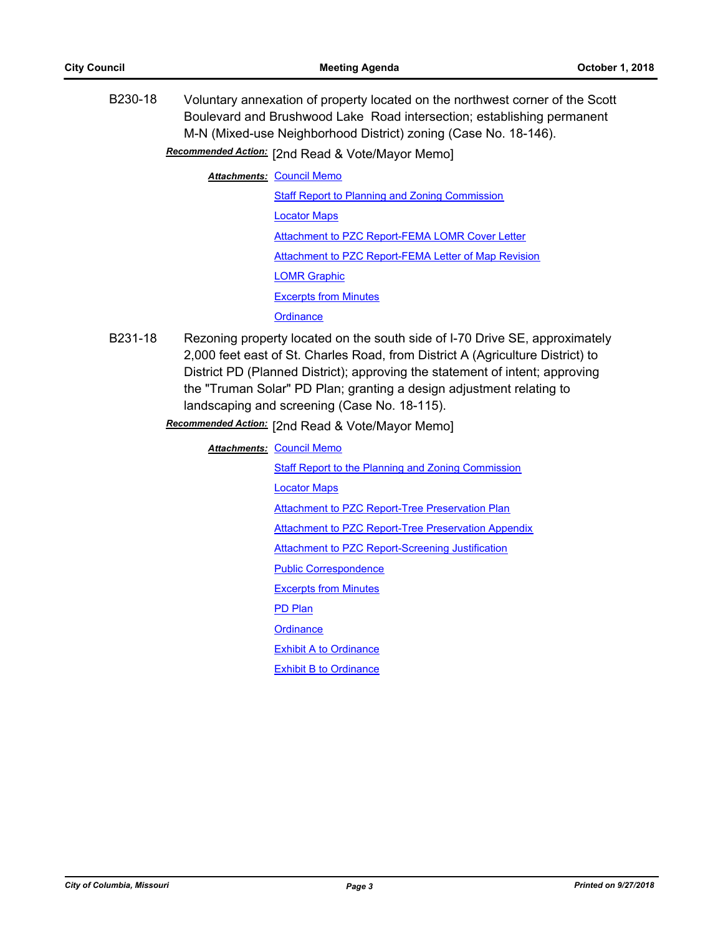B230-18 Voluntary annexation of property located on the northwest corner of the Scott Boulevard and Brushwood Lake Road intersection; establishing permanent M-N (Mixed-use Neighborhood District) zoning (Case No. 18-146).

## Recommended Action: [2nd Read & Vote/Mayor Memo]

**Attachments: [Council Memo](http://gocolumbiamo.legistar.com/gateway.aspx?M=F&ID=e0c0057e-dd4c-41a6-ac6a-9506b9edaa9d.docx)** 

- [Staff Report to Planning and Zoning Commission](http://gocolumbiamo.legistar.com/gateway.aspx?M=F&ID=89e79f5d-ef4b-4fbd-a287-b0cb930de81a.docx) [Locator Maps](http://gocolumbiamo.legistar.com/gateway.aspx?M=F&ID=eedf1406-12b2-48d5-b51b-27b99301a7b7.pdf) [Attachment to PZC Report-FEMA LOMR Cover Letter](http://gocolumbiamo.legistar.com/gateway.aspx?M=F&ID=e941ea93-db8e-429e-ab5b-554e9b9ff316.pdf) [Attachment to PZC Report-FEMA Letter of Map Revision](http://gocolumbiamo.legistar.com/gateway.aspx?M=F&ID=98506f2d-2eef-41e8-90e4-37b1d5ee7a26.pdf) [LOMR Graphic](http://gocolumbiamo.legistar.com/gateway.aspx?M=F&ID=cff1de7b-18f6-4b92-8ffe-5a30b80deb5b.pdf) [Excerpts from Minutes](http://gocolumbiamo.legistar.com/gateway.aspx?M=F&ID=8a6504e5-3518-4c34-856a-554884deb813.docx) **[Ordinance](http://gocolumbiamo.legistar.com/gateway.aspx?M=F&ID=b243bb9c-fba4-4ce9-b5c5-0bce430774d5.doc)**
- B231-18 Rezoning property located on the south side of I-70 Drive SE, approximately 2,000 feet east of St. Charles Road, from District A (Agriculture District) to District PD (Planned District); approving the statement of intent; approving the "Truman Solar" PD Plan; granting a design adjustment relating to landscaping and screening (Case No. 18-115).

Recommended Action: [2nd Read & Vote/Mayor Memo]

**Attachments: [Council Memo](http://gocolumbiamo.legistar.com/gateway.aspx?M=F&ID=f3804616-6d39-4ee3-864f-204e3120934c.docx)** [Staff Report to the Planning and Zoning Commission](http://gocolumbiamo.legistar.com/gateway.aspx?M=F&ID=3d605998-a821-4dc0-998c-d2546e6125b3.docx) [Locator Maps](http://gocolumbiamo.legistar.com/gateway.aspx?M=F&ID=ee083ea5-77c1-460e-ac24-57739e6774f1.pdf) [Attachment to PZC Report-Tree Preservation Plan](http://gocolumbiamo.legistar.com/gateway.aspx?M=F&ID=017eb080-260f-48aa-b8e3-fd2beccabc8b.pdf) [Attachment to PZC Report-Tree Preservation Appendix](http://gocolumbiamo.legistar.com/gateway.aspx?M=F&ID=89f8c932-dc1e-4d55-9167-636524df4722.pdf) [Attachment to PZC Report-Screening Justification](http://gocolumbiamo.legistar.com/gateway.aspx?M=F&ID=4fc3d789-eda3-4242-8f61-54092c9c7da8.pdf) [Public Correspondence](http://gocolumbiamo.legistar.com/gateway.aspx?M=F&ID=30408317-ea51-425e-989e-13e0910156a5.pdf) [Excerpts from Minutes](http://gocolumbiamo.legistar.com/gateway.aspx?M=F&ID=25763825-c83b-421c-a21a-99a437b3556d.docx) [PD Plan](http://gocolumbiamo.legistar.com/gateway.aspx?M=F&ID=c9835d61-c9aa-4c8b-82be-e473248bc95c.pdf) **[Ordinance](http://gocolumbiamo.legistar.com/gateway.aspx?M=F&ID=56647cbf-708a-4471-b4d4-95a32670e0c2.doc) [Exhibit A to Ordinance](http://gocolumbiamo.legistar.com/gateway.aspx?M=F&ID=e043cedf-fbdb-42fe-89cd-b1f407a3e66b.pdf)** [Exhibit B to Ordinance](http://gocolumbiamo.legistar.com/gateway.aspx?M=F&ID=466d410f-04bc-474b-98fe-a90dea461e76.pdf)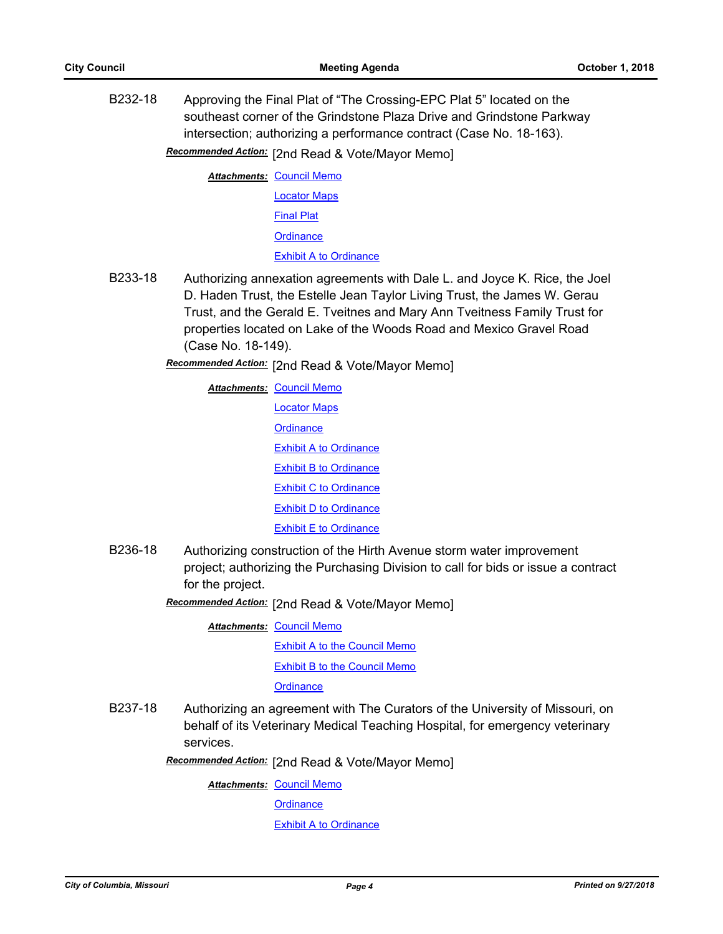B232-18 Approving the Final Plat of "The Crossing-EPC Plat 5" located on the southeast corner of the Grindstone Plaza Drive and Grindstone Parkway intersection; authorizing a performance contract (Case No. 18-163).

Recommended Action: [2nd Read & Vote/Mayor Memo]

**Attachments: [Council Memo](http://gocolumbiamo.legistar.com/gateway.aspx?M=F&ID=71e4cbd5-ff78-4e3f-b271-fbb3e4ede719.docx)** [Locator Maps](http://gocolumbiamo.legistar.com/gateway.aspx?M=F&ID=20ff4cfa-1c71-42f4-a3e5-e603c4d00ceb.pdf) [Final Plat](http://gocolumbiamo.legistar.com/gateway.aspx?M=F&ID=ee38dfae-255e-4d5e-b2b5-c1397c0f7dc2.pdf) **[Ordinance](http://gocolumbiamo.legistar.com/gateway.aspx?M=F&ID=46f565ea-4980-4ff2-bb49-fe67780b4a63.doc)** [Exhibit A to Ordinance](http://gocolumbiamo.legistar.com/gateway.aspx?M=F&ID=ae5ecb19-f4f5-40a4-ba77-b84bfcd7ad7b.pdf)

- B233-18 Authorizing annexation agreements with Dale L. and Joyce K. Rice, the Joel D. Haden Trust, the Estelle Jean Taylor Living Trust, the James W. Gerau Trust, and the Gerald E. Tveitnes and Mary Ann Tveitness Family Trust for properties located on Lake of the Woods Road and Mexico Gravel Road (Case No. 18-149).
	- Recommended Action: [2nd Read & Vote/Mayor Memo]

**Attachments: [Council Memo](http://gocolumbiamo.legistar.com/gateway.aspx?M=F&ID=0dfddcf3-5f42-45ce-b3b3-4329dff14d63.docx)** [Locator Maps](http://gocolumbiamo.legistar.com/gateway.aspx?M=F&ID=d9312397-1f38-4a00-9624-c55c41c17ea4.pdf) **[Ordinance](http://gocolumbiamo.legistar.com/gateway.aspx?M=F&ID=aa159d53-0f22-497d-8be0-4848da628b32.doc)** [Exhibit A to Ordinance](http://gocolumbiamo.legistar.com/gateway.aspx?M=F&ID=841b1ceb-c46f-4838-9f3d-5e9dec2abf92.pdf) **[Exhibit B to Ordinance](http://gocolumbiamo.legistar.com/gateway.aspx?M=F&ID=973847c1-d281-4f89-8ec5-815ebb3300c5.pdf)** [Exhibit C to Ordinance](http://gocolumbiamo.legistar.com/gateway.aspx?M=F&ID=379cb5ac-91a6-4254-90ac-1bcd2e64e7c4.pdf) [Exhibit D to Ordinance](http://gocolumbiamo.legistar.com/gateway.aspx?M=F&ID=1ae61de4-84bb-4c8f-be63-c18dcc75795e.pdf) [Exhibit E to Ordinance](http://gocolumbiamo.legistar.com/gateway.aspx?M=F&ID=ea7f028a-848f-4381-8ea2-4fc0a3d67bd6.pdf)

- B236-18 Authorizing construction of the Hirth Avenue storm water improvement project; authorizing the Purchasing Division to call for bids or issue a contract for the project.
	- Recommended Action: [2nd Read & Vote/Mayor Memo]

**Attachments: [Council Memo](http://gocolumbiamo.legistar.com/gateway.aspx?M=F&ID=85da85e8-0d02-45e7-be82-868c06be5b64.docx)** 

[Exhibit A to the Council Memo](http://gocolumbiamo.legistar.com/gateway.aspx?M=F&ID=e3a6f3f6-d2bb-41d6-9a6c-bcf342a1d58f.pdf)

[Exhibit B to the Council Memo](http://gocolumbiamo.legistar.com/gateway.aspx?M=F&ID=58fa9bcf-2f9f-4ce7-b35e-b538210160d8.pdf)

**[Ordinance](http://gocolumbiamo.legistar.com/gateway.aspx?M=F&ID=e9a2089d-b676-4707-be7e-1f6d2979ba17.doc)** 

B237-18 Authorizing an agreement with The Curators of the University of Missouri, on behalf of its Veterinary Medical Teaching Hospital, for emergency veterinary services.

[2nd Read & Vote/Mayor Memo] *Recommended Action:*

**Attachments: [Council Memo](http://gocolumbiamo.legistar.com/gateway.aspx?M=F&ID=ef432934-69f9-428d-b4f3-0f6f91bc2e8f.docx)** 

**[Ordinance](http://gocolumbiamo.legistar.com/gateway.aspx?M=F&ID=92d435f2-b3c9-4973-a7ae-ed090cccc6d6.doc)** 

**[Exhibit A to Ordinance](http://gocolumbiamo.legistar.com/gateway.aspx?M=F&ID=4205f30b-baf9-4283-a95e-72fc6810db9c.pdf)**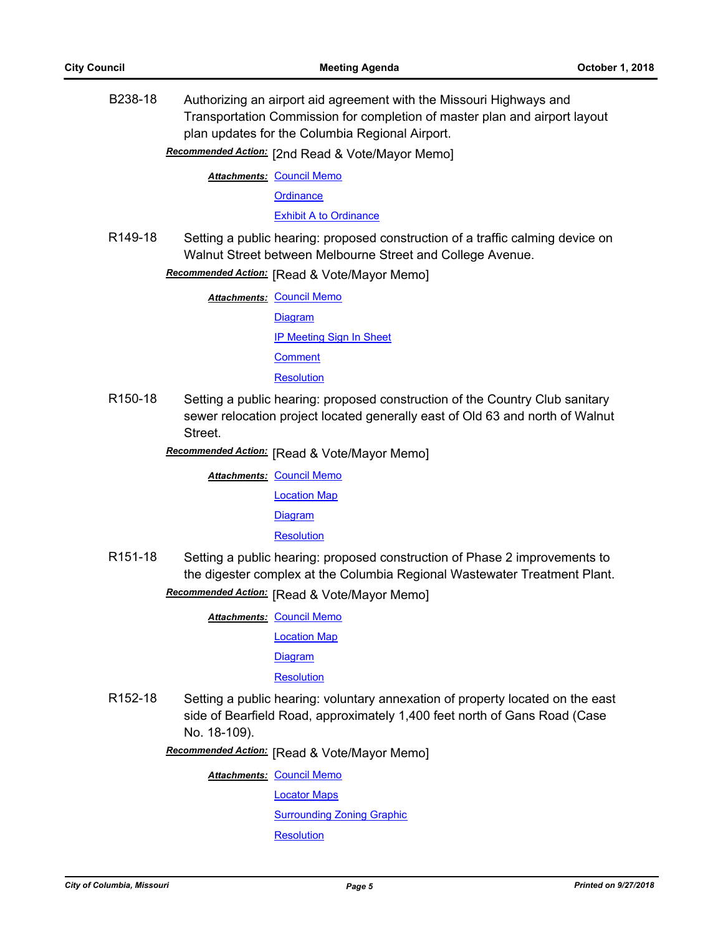B238-18 Authorizing an airport aid agreement with the Missouri Highways and Transportation Commission for completion of master plan and airport layout plan updates for the Columbia Regional Airport.

Recommended Action: [2nd Read & Vote/Mayor Memo]

**Attachments: [Council Memo](http://gocolumbiamo.legistar.com/gateway.aspx?M=F&ID=1281bd9d-bb0b-4c70-b9e7-1d0da16bc717.docx)** 

**[Ordinance](http://gocolumbiamo.legistar.com/gateway.aspx?M=F&ID=ca24ca41-4fac-4978-b7b4-1ef73263398c.doc)** 

[Exhibit A to Ordinance](http://gocolumbiamo.legistar.com/gateway.aspx?M=F&ID=df818cee-fe2e-4426-b023-9ace2637eabb.pdf)

R149-18 Setting a public hearing: proposed construction of a traffic calming device on Walnut Street between Melbourne Street and College Avenue.

**Recommended Action:** [Read & Vote/Mayor Memo]

**Attachments: [Council Memo](http://gocolumbiamo.legistar.com/gateway.aspx?M=F&ID=c99c03f5-bdf0-4ab5-baf4-9333158b7f66.docx)** [Diagram](http://gocolumbiamo.legistar.com/gateway.aspx?M=F&ID=1f538803-0689-4129-8f18-1d54ba68a17d.pdf) [IP Meeting Sign In Sheet](http://gocolumbiamo.legistar.com/gateway.aspx?M=F&ID=1e12bbe6-9916-44c4-9866-b45d26055511.pdf) **[Comment](http://gocolumbiamo.legistar.com/gateway.aspx?M=F&ID=3edb945b-d6e4-4075-85f8-52c4407a3545.pdf) [Resolution](http://gocolumbiamo.legistar.com/gateway.aspx?M=F&ID=bf1b6ab4-90eb-47c4-8a25-c29b271741e5.doc)** 

R150-18 Setting a public hearing: proposed construction of the Country Club sanitary sewer relocation project located generally east of Old 63 and north of Walnut Street.

**Recommended Action:** [Read & Vote/Mayor Memo]

**Attachments: [Council Memo](http://gocolumbiamo.legistar.com/gateway.aspx?M=F&ID=a8637ed8-93b9-415b-9c30-19f30e737c11.docx)** [Location Map](http://gocolumbiamo.legistar.com/gateway.aspx?M=F&ID=82420389-ea8c-4cad-bf21-6978436b3cb3.pdf)

[Diagram](http://gocolumbiamo.legistar.com/gateway.aspx?M=F&ID=84084c3c-ffbb-467c-b22b-ecfc65d68698.pdf)

**[Resolution](http://gocolumbiamo.legistar.com/gateway.aspx?M=F&ID=d6b0c661-a002-43de-bde4-d30b8d23e534.doc)** 

R151-18 Setting a public hearing: proposed construction of Phase 2 improvements to the digester complex at the Columbia Regional Wastewater Treatment Plant. **Recommended Action:** [Read & Vote/Mayor Memo]

**Attachments: [Council Memo](http://gocolumbiamo.legistar.com/gateway.aspx?M=F&ID=9ba911cf-51ce-4cd0-a7e0-934d5e86b338.docx)** 

[Location Map](http://gocolumbiamo.legistar.com/gateway.aspx?M=F&ID=158d0487-4e76-4891-9a44-adb5e74fceec.pdf)

[Diagram](http://gocolumbiamo.legistar.com/gateway.aspx?M=F&ID=52d685ad-a1d1-4548-962e-4d0d19fd24eb.pdf)

**[Resolution](http://gocolumbiamo.legistar.com/gateway.aspx?M=F&ID=ebe19556-288c-47ed-8fc2-473db27c9755.doc)** 

R152-18 Setting a public hearing: voluntary annexation of property located on the east side of Bearfield Road, approximately 1,400 feet north of Gans Road (Case No. 18-109).

**Recommended Action:** [Read & Vote/Mayor Memo]

**Attachments: [Council Memo](http://gocolumbiamo.legistar.com/gateway.aspx?M=F&ID=3c3d8c93-7447-45bb-88de-bb1964251a6e.docx)** 

[Locator Maps](http://gocolumbiamo.legistar.com/gateway.aspx?M=F&ID=48d98e6c-d6c5-4970-bc6d-b341ff8058ed.pdf)

[Surrounding Zoning Graphic](http://gocolumbiamo.legistar.com/gateway.aspx?M=F&ID=0d4f34f5-dc42-4a52-93b2-66b15d95055b.pdf)

**[Resolution](http://gocolumbiamo.legistar.com/gateway.aspx?M=F&ID=63dd7ce6-d997-42c0-94e5-af039211c25e.doc)**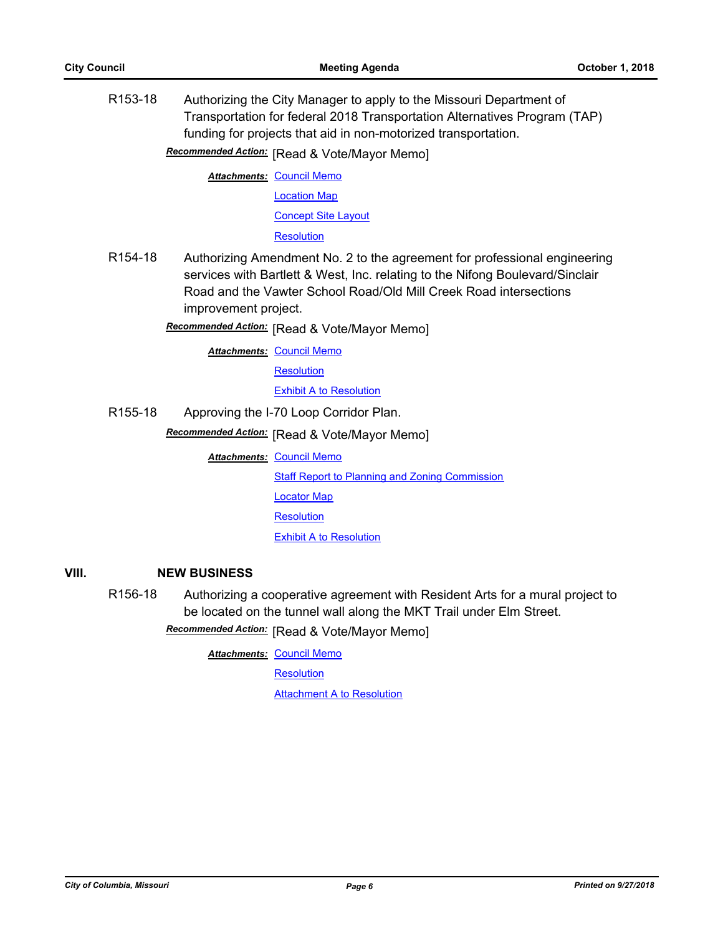R153-18 Authorizing the City Manager to apply to the Missouri Department of Transportation for federal 2018 Transportation Alternatives Program (TAP) funding for projects that aid in non-motorized transportation.

**Recommended Action:** [Read & Vote/Mayor Memo]

**Attachments: [Council Memo](http://gocolumbiamo.legistar.com/gateway.aspx?M=F&ID=01480942-c538-4006-9d09-4bee377bbdd3.docx)** [Location Map](http://gocolumbiamo.legistar.com/gateway.aspx?M=F&ID=f312bf9f-c209-4c68-8fa2-6ac611bf8aff.pdf)

[Concept Site Layout](http://gocolumbiamo.legistar.com/gateway.aspx?M=F&ID=9675b282-a1cd-4647-9ba2-4586c565a028.pdf)

**[Resolution](http://gocolumbiamo.legistar.com/gateway.aspx?M=F&ID=c0c3a54a-bed0-42c7-bcfa-3bb37d4400fd.doc)** 

R154-18 Authorizing Amendment No. 2 to the agreement for professional engineering services with Bartlett & West, Inc. relating to the Nifong Boulevard/Sinclair Road and the Vawter School Road/Old Mill Creek Road intersections improvement project.

**Recommended Action:** [Read & Vote/Mayor Memo]

**Attachments: [Council Memo](http://gocolumbiamo.legistar.com/gateway.aspx?M=F&ID=4aed6b16-403c-42e4-b72e-3bb321abbd4a.docx)** 

**[Resolution](http://gocolumbiamo.legistar.com/gateway.aspx?M=F&ID=f99923c7-49b0-41c6-a715-83c7c10d5735.doc)** 

[Exhibit A to Resolution](http://gocolumbiamo.legistar.com/gateway.aspx?M=F&ID=a53cab18-0e44-4ef1-88c9-a03202a011d2.pdf)

R155-18 Approving the I-70 Loop Corridor Plan.

**Recommended Action:** [Read & Vote/Mayor Memo]

**Attachments: [Council Memo](http://gocolumbiamo.legistar.com/gateway.aspx?M=F&ID=2248dd0e-abe9-41d1-81c6-9bd2712588a8.docx)** 

[Staff Report to Planning and Zoning Commission](http://gocolumbiamo.legistar.com/gateway.aspx?M=F&ID=5f33cb55-c1fd-44d0-b3b5-f6cd1d42574e.docx)

[Locator Map](http://gocolumbiamo.legistar.com/gateway.aspx?M=F&ID=081a0928-059c-4447-89a5-b5a1d2dec2d8.pdf)

**[Resolution](http://gocolumbiamo.legistar.com/gateway.aspx?M=F&ID=038118c3-3879-494c-84bc-c7d7be2a3132.doc)** 

**[Exhibit A to Resolution](http://gocolumbiamo.legistar.com/gateway.aspx?M=F&ID=75589ec8-b9cb-430d-b4f3-438fae9de65c.pdf)** 

#### **VIII. NEW BUSINESS**

R156-18 Authorizing a cooperative agreement with Resident Arts for a mural project to be located on the tunnel wall along the MKT Trail under Elm Street.

**Recommended Action:** [Read & Vote/Mayor Memo]

**Attachments: [Council Memo](http://gocolumbiamo.legistar.com/gateway.aspx?M=F&ID=a15e2685-de94-4753-bddb-e4db5870bc0d.docx)** 

**[Resolution](http://gocolumbiamo.legistar.com/gateway.aspx?M=F&ID=cdfb127a-db90-46cc-a6df-a645f76065e1.doc)** 

**[Attachment A to Resolution](http://gocolumbiamo.legistar.com/gateway.aspx?M=F&ID=aa6a19ed-0a9f-4f19-be7e-e03b4887d8fd.pdf)**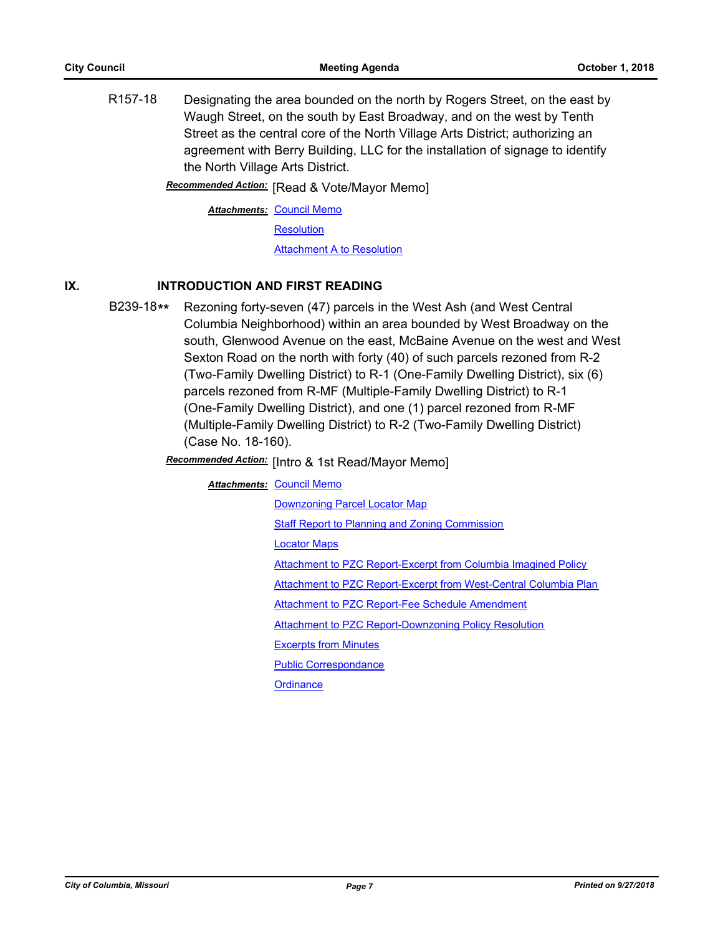R157-18 Designating the area bounded on the north by Rogers Street, on the east by Waugh Street, on the south by East Broadway, and on the west by Tenth Street as the central core of the North Village Arts District; authorizing an agreement with Berry Building, LLC for the installation of signage to identify the North Village Arts District.

**Recommended Action:** [Read & Vote/Mayor Memo]

**Attachments: [Council Memo](http://gocolumbiamo.legistar.com/gateway.aspx?M=F&ID=43e9dc2e-baff-4d2c-94e5-be0df480f457.docx)** 

**[Resolution](http://gocolumbiamo.legistar.com/gateway.aspx?M=F&ID=7b3b15cb-7432-493a-8081-4558866ff095.doc)** 

[Attachment A to Resolution](http://gocolumbiamo.legistar.com/gateway.aspx?M=F&ID=2d3abe44-bc62-4b27-b7dc-1e5b0664d46e.pdf)

## **IX. INTRODUCTION AND FIRST READING**

B239-18**\*\*** Rezoning forty-seven (47) parcels in the West Ash (and West Central Columbia Neighborhood) within an area bounded by West Broadway on the south, Glenwood Avenue on the east, McBaine Avenue on the west and West Sexton Road on the north with forty (40) of such parcels rezoned from R-2 (Two-Family Dwelling District) to R-1 (One-Family Dwelling District), six (6) parcels rezoned from R-MF (Multiple-Family Dwelling District) to R-1 (One-Family Dwelling District), and one (1) parcel rezoned from R-MF (Multiple-Family Dwelling District) to R-2 (Two-Family Dwelling District) (Case No. 18-160).

**Recommended Action:** [Intro & 1st Read/Mayor Memo]

#### **Attachments: [Council Memo](http://gocolumbiamo.legistar.com/gateway.aspx?M=F&ID=4c454e13-6c50-4ca0-8da4-02e81983b8df.docx)**

[Downzoning Parcel Locator Map](http://gocolumbiamo.legistar.com/gateway.aspx?M=F&ID=9e4dde2d-bc30-441c-b8a4-477b3bae5541.png)

**[Staff Report to Planning and Zoning Commission](http://gocolumbiamo.legistar.com/gateway.aspx?M=F&ID=d949a5b6-92fd-416e-9313-2606862e388e.docx)** 

[Locator Maps](http://gocolumbiamo.legistar.com/gateway.aspx?M=F&ID=a350ae9d-828d-4a14-805c-fc1b41c818e8.pdf)

[Attachment to PZC Report-Excerpt from Columbia Imagined Policy](http://gocolumbiamo.legistar.com/gateway.aspx?M=F&ID=7be256aa-3bb7-49d9-aff1-daed05fce5b2.pdf)

[Attachment to PZC Report-Excerpt from West-Central Columbia Plan](http://gocolumbiamo.legistar.com/gateway.aspx?M=F&ID=402bd777-d454-49be-956c-75dab67315db.pdf)

[Attachment to PZC Report-Fee Schedule Amendment](http://gocolumbiamo.legistar.com/gateway.aspx?M=F&ID=f17f8b83-63ec-4956-97a9-e4748e80cdcc.pdf)

[Attachment to PZC Report-Downzoning Policy Resolution](http://gocolumbiamo.legistar.com/gateway.aspx?M=F&ID=9a296f59-ca2a-462e-ae8c-5351124fc771.pdf)

[Excerpts from Minutes](http://gocolumbiamo.legistar.com/gateway.aspx?M=F&ID=5c8f14ba-4e71-489a-8933-aa644dc1731e.docx)

[Public Correspondance](http://gocolumbiamo.legistar.com/gateway.aspx?M=F&ID=c1ea9949-003f-4e05-8cc5-95462b975093.pdf)

**[Ordinance](http://gocolumbiamo.legistar.com/gateway.aspx?M=F&ID=0dbaac50-d48e-49d5-b4da-da3140f2dfc0.doc)**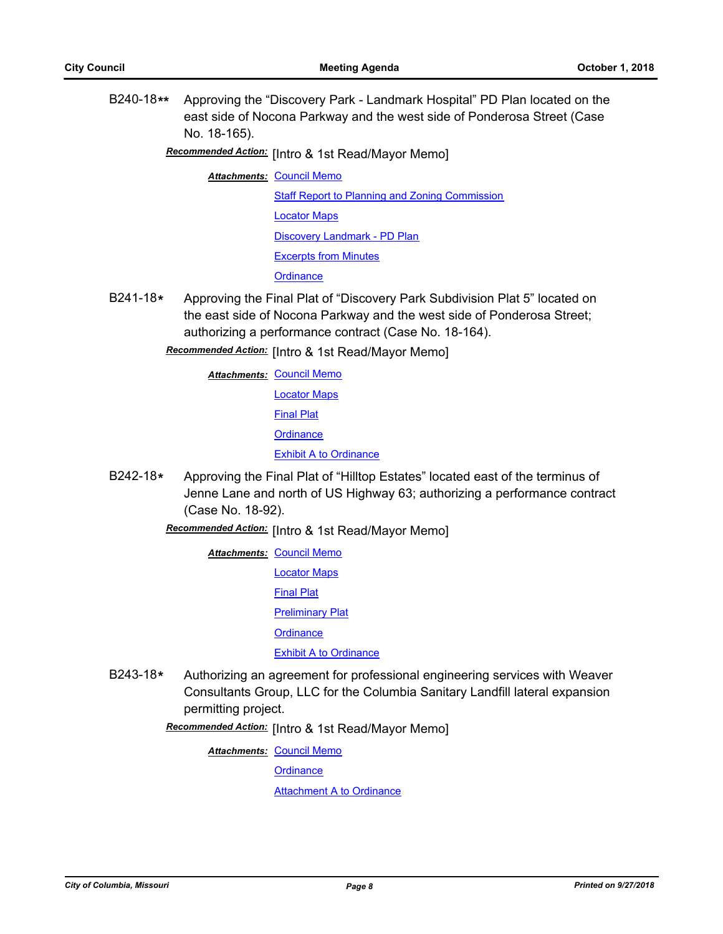B240-18**\*\*** Approving the "Discovery Park - Landmark Hospital" PD Plan located on the east side of Nocona Parkway and the west side of Ponderosa Street (Case No. 18-165).

Recommended Action: [Intro & 1st Read/Mayor Memo]

**Attachments: [Council Memo](http://gocolumbiamo.legistar.com/gateway.aspx?M=F&ID=252be273-e3c1-4e1b-8e24-b548ba15b8a5.docx)** 

[Staff Report to Planning and Zoning Commission](http://gocolumbiamo.legistar.com/gateway.aspx?M=F&ID=3d3bb121-5a4f-43f8-9812-ba419c409ca5.docx) [Locator Maps](http://gocolumbiamo.legistar.com/gateway.aspx?M=F&ID=2f412215-2527-4a58-a6ff-3e1d910d77ce.pdf) [Discovery Landmark - PD Plan](http://gocolumbiamo.legistar.com/gateway.aspx?M=F&ID=02028741-1cc2-4589-b59d-190d79dbf964.pdf) [Excerpts from Minutes](http://gocolumbiamo.legistar.com/gateway.aspx?M=F&ID=702b9817-a28b-4bbf-914a-889888d19619.docx) **[Ordinance](http://gocolumbiamo.legistar.com/gateway.aspx?M=F&ID=c9d10bc9-3e8c-4de9-8f76-09e8bf6b5596.doc)** 

B241-18**\*** Approving the Final Plat of "Discovery Park Subdivision Plat 5" located on the east side of Nocona Parkway and the west side of Ponderosa Street; authorizing a performance contract (Case No. 18-164).

**Recommended Action:** [Intro & 1st Read/Mayor Memo]

**Attachments: [Council Memo](http://gocolumbiamo.legistar.com/gateway.aspx?M=F&ID=bbb32224-53d1-40d9-ba8d-f1bec73a7ca4.docx)** 

[Locator Maps](http://gocolumbiamo.legistar.com/gateway.aspx?M=F&ID=32683246-146d-4f0c-8fd8-24bf38493bfa.pdf) [Final Plat](http://gocolumbiamo.legistar.com/gateway.aspx?M=F&ID=25dfa3d1-171a-4eef-a0fc-ce110cb69949.pdf) **[Ordinance](http://gocolumbiamo.legistar.com/gateway.aspx?M=F&ID=9257aafa-9fac-4a49-ace8-b8916f714fc2.doc)** [Exhibit A to Ordinance](http://gocolumbiamo.legistar.com/gateway.aspx?M=F&ID=cf799e44-5c94-4d52-90e3-9ea767f924a6.pdf)

B242-18**\*** Approving the Final Plat of "Hilltop Estates" located east of the terminus of Jenne Lane and north of US Highway 63; authorizing a performance contract (Case No. 18-92).

Recommended Action: [Intro & 1st Read/Mayor Memo]

**Attachments: [Council Memo](http://gocolumbiamo.legistar.com/gateway.aspx?M=F&ID=4f3994c8-6c2b-4c67-b60b-66859ecf9c96.docx)** [Locator Maps](http://gocolumbiamo.legistar.com/gateway.aspx?M=F&ID=c7f550a7-1670-4daf-b5c4-e8ba96e91dd6.pdf) [Final Plat](http://gocolumbiamo.legistar.com/gateway.aspx?M=F&ID=47676aee-3189-421b-9bb1-634898accef6.pdf) [Preliminary Plat](http://gocolumbiamo.legistar.com/gateway.aspx?M=F&ID=45f5fe84-fa93-43fa-a0c5-1687edc8ca2a.pdf)

**[Ordinance](http://gocolumbiamo.legistar.com/gateway.aspx?M=F&ID=fdacd924-c428-4d63-9d31-78ee2a5a89cc.doc)** 

**[Exhibit A to Ordinance](http://gocolumbiamo.legistar.com/gateway.aspx?M=F&ID=6f13f789-6d6a-4688-84b8-144e4c48779e.pdf)** 

B243-18**\*** Authorizing an agreement for professional engineering services with Weaver Consultants Group, LLC for the Columbia Sanitary Landfill lateral expansion permitting project.

Recommended Action: [Intro & 1st Read/Mayor Memo]

**Attachments: [Council Memo](http://gocolumbiamo.legistar.com/gateway.aspx?M=F&ID=2bcfc521-6ef8-47d0-a954-ff651bb27858.docx)** 

**[Ordinance](http://gocolumbiamo.legistar.com/gateway.aspx?M=F&ID=e7634c64-9c88-46a0-96fb-3dd9a9d1ba2d.doc)** 

**[Attachment A to Ordinance](http://gocolumbiamo.legistar.com/gateway.aspx?M=F&ID=c7eca884-39b3-472f-9767-d0b11f8aac4d.pdf)**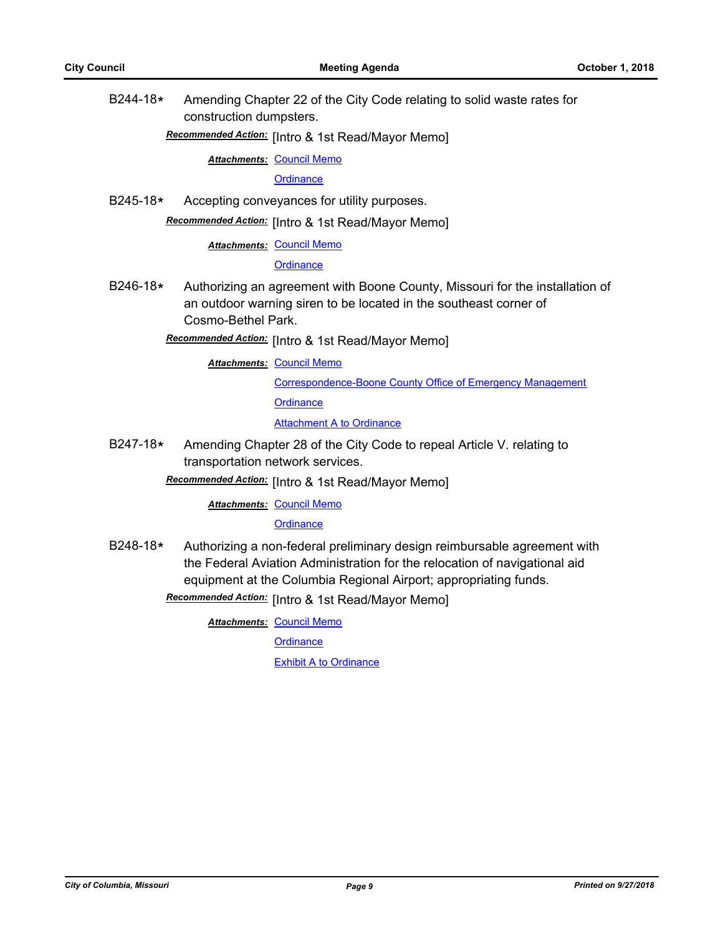B244-18**\*** Amending Chapter 22 of the City Code relating to solid waste rates for construction dumpsters.

# [Intro & 1st Read/Mayor Memo] *Recommended Action:*

**Attachments: [Council Memo](http://gocolumbiamo.legistar.com/gateway.aspx?M=F&ID=f37d7e6c-c890-47d6-8f94-3306a6147366.docx)** 

**[Ordinance](http://gocolumbiamo.legistar.com/gateway.aspx?M=F&ID=9223bee4-1943-4e7f-b71a-b660746e34c1.doc)** 

B245-18**\*** Accepting conveyances for utility purposes.

Recommended Action: [Intro & 1st Read/Mayor Memo]

**Attachments: [Council Memo](http://gocolumbiamo.legistar.com/gateway.aspx?M=F&ID=83db357f-54d1-4751-9e99-f98ed0d5decd.docx)** 

**[Ordinance](http://gocolumbiamo.legistar.com/gateway.aspx?M=F&ID=90a9d291-6bc9-44e4-93eb-15ca291e76de.doc)** 

B246-18**\*** Authorizing an agreement with Boone County, Missouri for the installation of an outdoor warning siren to be located in the southeast corner of Cosmo-Bethel Park.

[Intro & 1st Read/Mayor Memo] *Recommended Action:*

**Attachments: [Council Memo](http://gocolumbiamo.legistar.com/gateway.aspx?M=F&ID=8e333786-86ca-424c-ade3-91d8981c8cd6.docx)** 

[Correspondence-Boone County Office of Emergency Management](http://gocolumbiamo.legistar.com/gateway.aspx?M=F&ID=887babfb-8293-4a5a-a474-03f1962367b3.docx) **[Ordinance](http://gocolumbiamo.legistar.com/gateway.aspx?M=F&ID=90f8410a-f8d8-44c1-9eba-1d5e211b80ab.doc)** 

[Attachment A to Ordinance](http://gocolumbiamo.legistar.com/gateway.aspx?M=F&ID=c8fc429b-eeae-4a88-836c-7bd85dc3bd25.pdf)

B247-18**\*** Amending Chapter 28 of the City Code to repeal Article V. relating to transportation network services.

Recommended Action: [Intro & 1st Read/Mayor Memo]

#### **Attachments: [Council Memo](http://gocolumbiamo.legistar.com/gateway.aspx?M=F&ID=ebb0a6a1-af22-4e23-b72f-4a63ae314e60.docx)**

#### **[Ordinance](http://gocolumbiamo.legistar.com/gateway.aspx?M=F&ID=652c0b4f-7410-4e4a-ae54-485fe5202532.doc)**

B248-18**\*** Authorizing a non-federal preliminary design reimbursable agreement with the Federal Aviation Administration for the relocation of navigational aid equipment at the Columbia Regional Airport; appropriating funds.

Recommended Action: [Intro & 1st Read/Mayor Memo]

**Attachments: [Council Memo](http://gocolumbiamo.legistar.com/gateway.aspx?M=F&ID=303438ba-c0ff-4de6-bb06-8fd306be8b2c.docx)** 

**[Ordinance](http://gocolumbiamo.legistar.com/gateway.aspx?M=F&ID=2fcc116d-cebe-4687-8ea3-b15e7b3f5e88.doc)** 

**[Exhibit A to Ordinance](http://gocolumbiamo.legistar.com/gateway.aspx?M=F&ID=5e10135c-9df3-4a19-90f9-586450540366.pdf)**